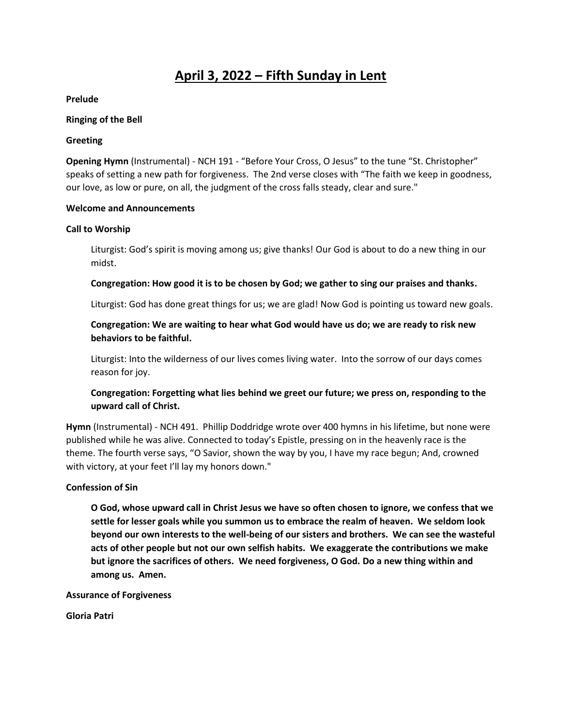# **April 3, 2022 – Fifth Sunday in Lent**

**Prelude**

#### **Ringing of the Bell**

### **Greeting**

**Opening Hymn** (Instrumental) - NCH 191 - "Before Your Cross, O Jesus" to the tune "St. Christopher" speaks of setting a new path for forgiveness. The 2nd verse closes with "The faith we keep in goodness, our love, as low or pure, on all, the judgment of the cross falls steady, clear and sure."

### **Welcome and Announcements**

### **Call to Worship**

Liturgist: God's spirit is moving among us; give thanks! Our God is about to do a new thing in our midst.

### **Congregation: How good it is to be chosen by God; we gather to sing our praises and thanks.**

Liturgist: God has done great things for us; we are glad! Now God is pointing us toward new goals.

# **Congregation: We are waiting to hear what God would have us do; we are ready to risk new behaviors to be faithful.**

Liturgist: Into the wilderness of our lives comes living water. Into the sorrow of our days comes reason for joy.

# **Congregation: Forgetting what lies behind we greet our future; we press on, responding to the upward call of Christ.**

**Hymn** (Instrumental) - NCH 491. Phillip Doddridge wrote over 400 hymns in his lifetime, but none were published while he was alive. Connected to today's Epistle, pressing on in the heavenly race is the theme. The fourth verse says, "O Savior, shown the way by you, I have my race begun; And, crowned with victory, at your feet I'll lay my honors down."

# **Confession of Sin**

**O God, whose upward call in Christ Jesus we have so often chosen to ignore, we confess that we settle for lesser goals while you summon us to embrace the realm of heaven. We seldom look beyond our own interests to the well-being of our sisters and brothers. We can see the wasteful acts of other people but not our own selfish habits. We exaggerate the contributions we make but ignore the sacrifices of others. We need forgiveness, O God. Do a new thing within and among us. Amen.** 

**Assurance of Forgiveness**

**Gloria Patri**